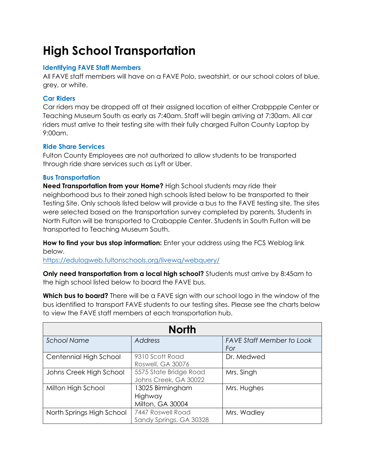# **High School Transportation**

## **Identifying FAVE Staff Members**

All FAVE staff members will have on a FAVE Polo, sweatshirt, or our school colors of blue, grey, or white.

## **Car Riders**

Car riders may be dropped off at their assigned location of either Crabppple Center or Teaching Museum South as early as 7:40am. Staff will begin arriving at 7:30am. All car riders must arrive to their testing site with their fully charged Fulton County Laptop by 9:00am.

## **Ride Share Services**

Fulton County Employees are not authorized to allow students to be transported through ride share services such as Lyft or Uber.

#### **Bus Transportation**

**Need Transportation from your Home?** High School students may ride their neighborhood bus to their zoned high schools listed below to be transported to their Testing Site. Only schools listed below will provide a bus to the FAVE testing site. The sites were selected based on the transportation survey completed by parents. Students in North Fulton will be transported to Crabapple Center. Students in South Fulton will be transported to Teaching Museum South.

**How to find your bus stop information:** Enter your address using the FCS Weblog link below.

<https://edulogweb.fultonschools.org/livewq/webquery/>

**Only need transportation from a local high school?** Students must arrive by 8:45am to the high school listed below to board the FAVE bus.

**Which bus to board?** There will be a FAVE sign with our school logo in the window of the bus identified to transport FAVE students to our testing sites. Please see the charts below to view the FAVE staff members at each transportation hub.

| <b>North</b>              |                                                 |                                         |  |  |
|---------------------------|-------------------------------------------------|-----------------------------------------|--|--|
| <b>School Name</b>        | <b>Address</b>                                  | <b>FAVE Staff Member to Look</b><br>For |  |  |
| Centennial High School    | 9310 Scott Road<br>Roswell, GA 30076            | Dr. Medwed                              |  |  |
| Johns Creek High School   | 5575 State Bridge Road<br>Johns Creek, GA 30022 | Mrs. Singh                              |  |  |
| Milton High School        | 13025 Birmingham<br>Highway<br>Milton, GA 30004 | Mrs. Hughes                             |  |  |
| North Springs High School | 7447 Roswell Road<br>Sandy Springs, GA 30328    | Mrs. Wadley                             |  |  |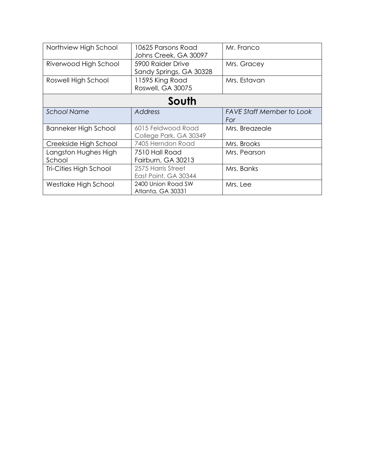| Northview High School  | 10625 Parsons Road      | Mr. Franco                       |  |  |
|------------------------|-------------------------|----------------------------------|--|--|
|                        | Johns Creek, GA 30097   |                                  |  |  |
| Riverwood High School  | 5900 Raider Drive       | Mrs. Gracey                      |  |  |
|                        | Sandy Springs, GA 30328 |                                  |  |  |
| Roswell High School    | 11595 King Road         | Mrs. Estavan                     |  |  |
|                        | Roswell, GA 30075       |                                  |  |  |
| South                  |                         |                                  |  |  |
| <b>School Name</b>     | <b>Address</b>          | <b>FAVE Staff Member to Look</b> |  |  |
|                        |                         | For                              |  |  |
| Banneker High School   | 6015 Feldwood Road      | Mrs. Breazeale                   |  |  |
|                        | College Park, GA 30349  |                                  |  |  |
| Creekside High School  | 7405 Herndon Road       | Mrs. Brooks                      |  |  |
| Langston Hughes High   | 7510 Hall Road          | Mrs. Pearson                     |  |  |
| School                 | Fairburn, GA 30213      |                                  |  |  |
| Tri-Cities High School | 2575 Harris Street      | Mrs. Banks                       |  |  |
|                        | East Point, GA 30344    |                                  |  |  |
| Westlake High School   | 2400 Union Road SW      | Mrs. Lee                         |  |  |
|                        | Atlanta, GA 30331       |                                  |  |  |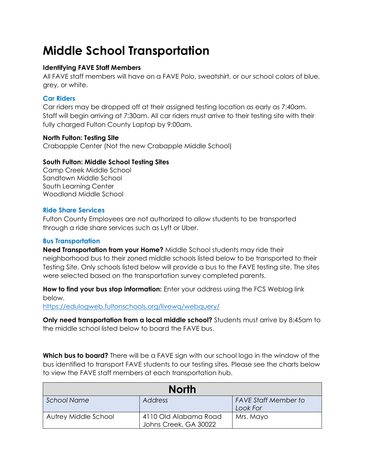# **Middle School Transportation**

## **Identifying FAVE Staff Members**

All FAVE staff members will have on a FAVE Polo, sweatshirt, or our school colors of blue, grey, or white.

## **Car Riders**

Car riders may be dropped off at their assigned testing location as early as 7:40am. Staff will begin arriving at 7:30am. All car riders must arrive to their testing site with their fully charged Fulton County Laptop by 9:00am.

#### **North Fulton: Testing Site**

Crabapple Center (Not the new Crabapple Middle School)

## **South Fulton: Middle School Testing Sites**

Camp Creek Middle School Sandtown Middle School South Learning Center Woodland Middle School

#### **Ride Share Services**

Fulton County Employees are not authorized to allow students to be transported through a ride share services such as Lyft or Uber.

## **Bus Transportation**

**Need Transportation from your Home?** Middle School students may ride their neighborhood bus to their zoned middle schools listed below to be transported to their Testing Site. Only schools listed below will provide a bus to the FAVE testing site. The sites were selected based on the transportation survey completed parents.

**How to find your bus stop information:** Enter your address using the FCS Weblog link below. <https://edulogweb.fultonschools.org/livewq/webquery/>

**Only need transportation from a local middle school?** Students must arrive by 8:45am to the middle school listed below to board the FAVE bus.

**Which bus to board?** There will be a FAVE sign with our school logo in the window of the bus identified to transport FAVE students to our testing sites. Please see the charts below to view the FAVE staff members at each transportation hub.

| <b>North</b>         |                                                |                                         |  |  |
|----------------------|------------------------------------------------|-----------------------------------------|--|--|
| <b>School Name</b>   | Address                                        | <b>FAVE Staff Member to</b><br>Look For |  |  |
| Autrey Middle School | 4110 Old Alabama Road<br>Johns Creek, GA 30022 | Mrs. Mayo                               |  |  |